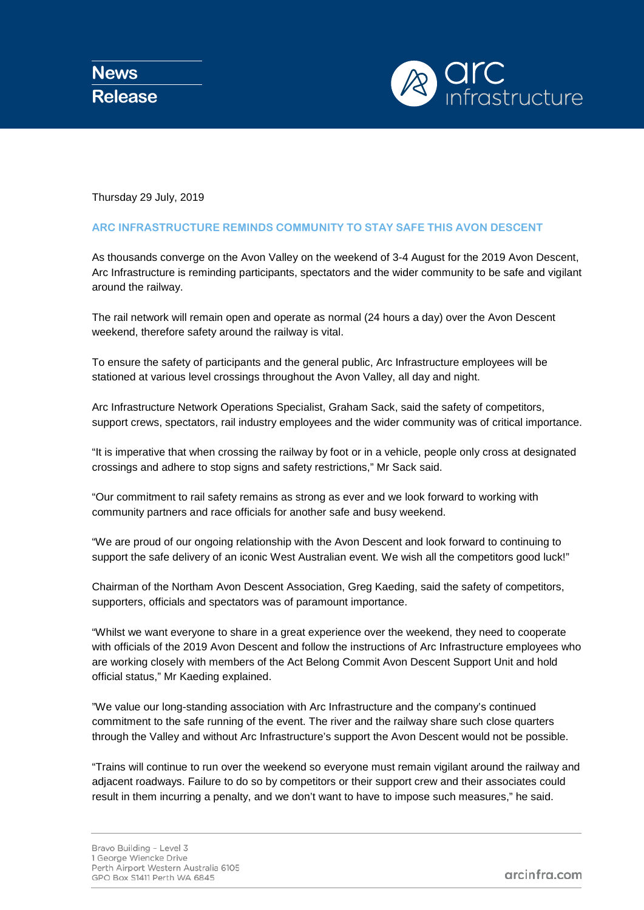

Thursday 29 July, 2019

## **ARC INFRASTRUCTURE REMINDS COMMUNITY TO STAY SAFE THIS AVON DESCENT**

As thousands converge on the Avon Valley on the weekend of 3-4 August for the 2019 Avon Descent, Arc Infrastructure is reminding participants, spectators and the wider community to be safe and vigilant around the railway.

The rail network will remain open and operate as normal (24 hours a day) over the Avon Descent weekend, therefore safety around the railway is vital.

To ensure the safety of participants and the general public, Arc Infrastructure employees will be stationed at various level crossings throughout the Avon Valley, all day and night.

Arc Infrastructure Network Operations Specialist, Graham Sack, said the safety of competitors, support crews, spectators, rail industry employees and the wider community was of critical importance.

"It is imperative that when crossing the railway by foot or in a vehicle, people only cross at designated crossings and adhere to stop signs and safety restrictions," Mr Sack said.

"Our commitment to rail safety remains as strong as ever and we look forward to working with community partners and race officials for another safe and busy weekend.

"We are proud of our ongoing relationship with the Avon Descent and look forward to continuing to support the safe delivery of an iconic West Australian event. We wish all the competitors good luck!"

Chairman of the Northam Avon Descent Association, Greg Kaeding, said the safety of competitors, supporters, officials and spectators was of paramount importance.

"Whilst we want everyone to share in a great experience over the weekend, they need to cooperate with officials of the 2019 Avon Descent and follow the instructions of Arc Infrastructure employees who are working closely with members of the Act Belong Commit Avon Descent Support Unit and hold official status," Mr Kaeding explained.

"We value our long-standing association with Arc Infrastructure and the company's continued commitment to the safe running of the event. The river and the railway share such close quarters through the Valley and without Arc Infrastructure's support the Avon Descent would not be possible.

"Trains will continue to run over the weekend so everyone must remain vigilant around the railway and adjacent roadways. Failure to do so by competitors or their support crew and their associates could result in them incurring a penalty, and we don't want to have to impose such measures," he said.